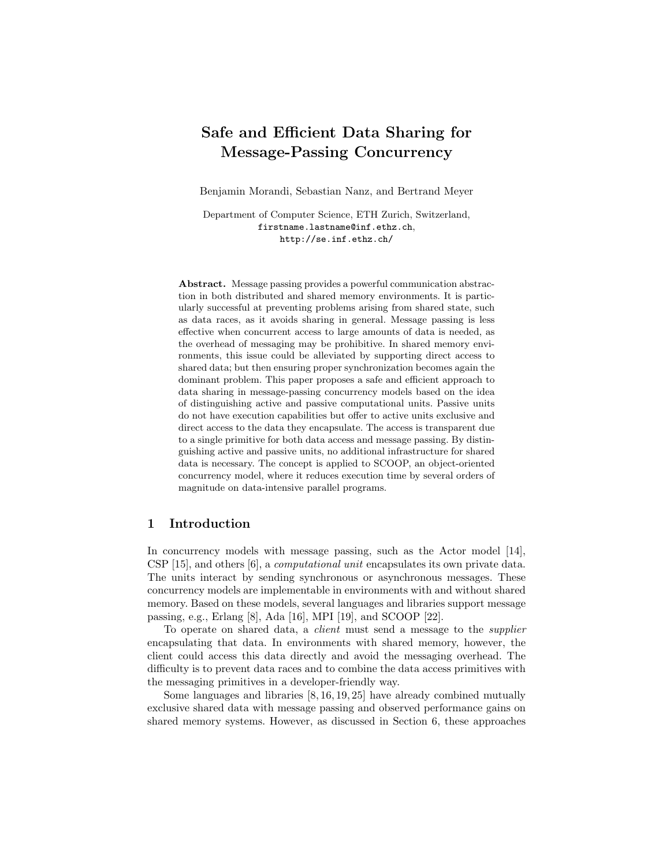# Safe and Efficient Data Sharing for Message-Passing Concurrency

Benjamin Morandi, Sebastian Nanz, and Bertrand Meyer

Department of Computer Science, ETH Zurich, Switzerland, firstname.lastname@inf.ethz.ch, http://se.inf.ethz.ch/

Abstract. Message passing provides a powerful communication abstraction in both distributed and shared memory environments. It is particularly successful at preventing problems arising from shared state, such as data races, as it avoids sharing in general. Message passing is less effective when concurrent access to large amounts of data is needed, as the overhead of messaging may be prohibitive. In shared memory environments, this issue could be alleviated by supporting direct access to shared data; but then ensuring proper synchronization becomes again the dominant problem. This paper proposes a safe and efficient approach to data sharing in message-passing concurrency models based on the idea of distinguishing active and passive computational units. Passive units do not have execution capabilities but offer to active units exclusive and direct access to the data they encapsulate. The access is transparent due to a single primitive for both data access and message passing. By distinguishing active and passive units, no additional infrastructure for shared data is necessary. The concept is applied to SCOOP, an object-oriented concurrency model, where it reduces execution time by several orders of magnitude on data-intensive parallel programs.

## 1 Introduction

In concurrency models with message passing, such as the Actor model [14], CSP [15], and others [6], a computational unit encapsulates its own private data. The units interact by sending synchronous or asynchronous messages. These concurrency models are implementable in environments with and without shared memory. Based on these models, several languages and libraries support message passing, e.g., Erlang [8], Ada [16], MPI [19], and SCOOP [22].

To operate on shared data, a client must send a message to the supplier encapsulating that data. In environments with shared memory, however, the client could access this data directly and avoid the messaging overhead. The difficulty is to prevent data races and to combine the data access primitives with the messaging primitives in a developer-friendly way.

Some languages and libraries [8, 16, 19, 25] have already combined mutually exclusive shared data with message passing and observed performance gains on shared memory systems. However, as discussed in Section 6, these approaches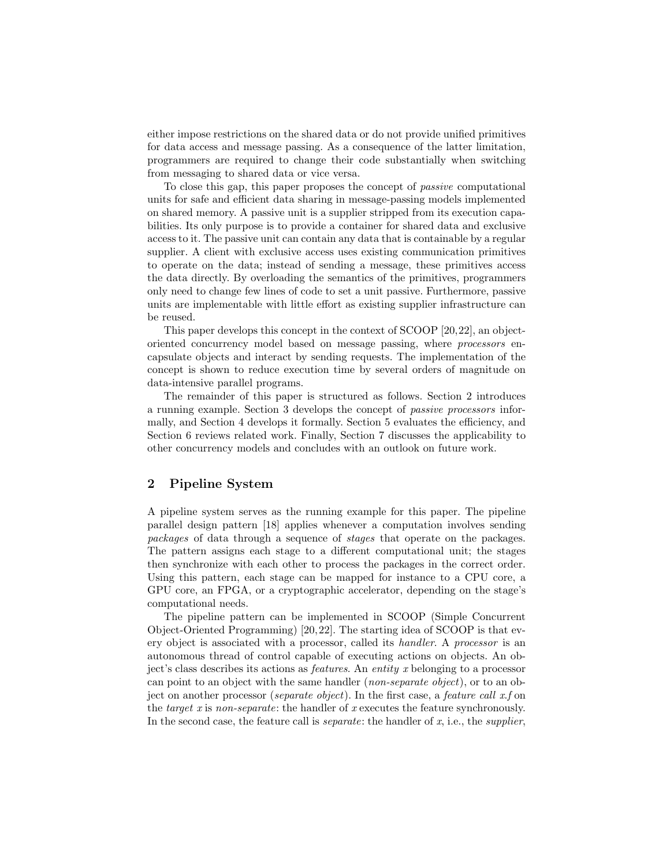either impose restrictions on the shared data or do not provide unified primitives for data access and message passing. As a consequence of the latter limitation, programmers are required to change their code substantially when switching from messaging to shared data or vice versa.

To close this gap, this paper proposes the concept of passive computational units for safe and efficient data sharing in message-passing models implemented on shared memory. A passive unit is a supplier stripped from its execution capabilities. Its only purpose is to provide a container for shared data and exclusive access to it. The passive unit can contain any data that is containable by a regular supplier. A client with exclusive access uses existing communication primitives to operate on the data; instead of sending a message, these primitives access the data directly. By overloading the semantics of the primitives, programmers only need to change few lines of code to set a unit passive. Furthermore, passive units are implementable with little effort as existing supplier infrastructure can be reused.

This paper develops this concept in the context of SCOOP [20,22], an objectoriented concurrency model based on message passing, where processors encapsulate objects and interact by sending requests. The implementation of the concept is shown to reduce execution time by several orders of magnitude on data-intensive parallel programs.

The remainder of this paper is structured as follows. Section 2 introduces a running example. Section 3 develops the concept of passive processors informally, and Section 4 develops it formally. Section 5 evaluates the efficiency, and Section 6 reviews related work. Finally, Section 7 discusses the applicability to other concurrency models and concludes with an outlook on future work.

# 2 Pipeline System

A pipeline system serves as the running example for this paper. The pipeline parallel design pattern [18] applies whenever a computation involves sending packages of data through a sequence of stages that operate on the packages. The pattern assigns each stage to a different computational unit; the stages then synchronize with each other to process the packages in the correct order. Using this pattern, each stage can be mapped for instance to a CPU core, a GPU core, an FPGA, or a cryptographic accelerator, depending on the stage's computational needs.

The pipeline pattern can be implemented in SCOOP (Simple Concurrent Object-Oriented Programming) [20, 22]. The starting idea of SCOOP is that every object is associated with a processor, called its handler. A processor is an autonomous thread of control capable of executing actions on objects. An object's class describes its actions as features. An entity x belonging to a processor can point to an object with the same handler (non-separate object), or to an object on another processor (separate object). In the first case, a feature call  $x \cdot f$  on the *target*  $x$  is *non-separate*: the handler of  $x$  executes the feature synchronously. In the second case, the feature call is *separate*: the handler of  $x$ , i.e., the *supplier*,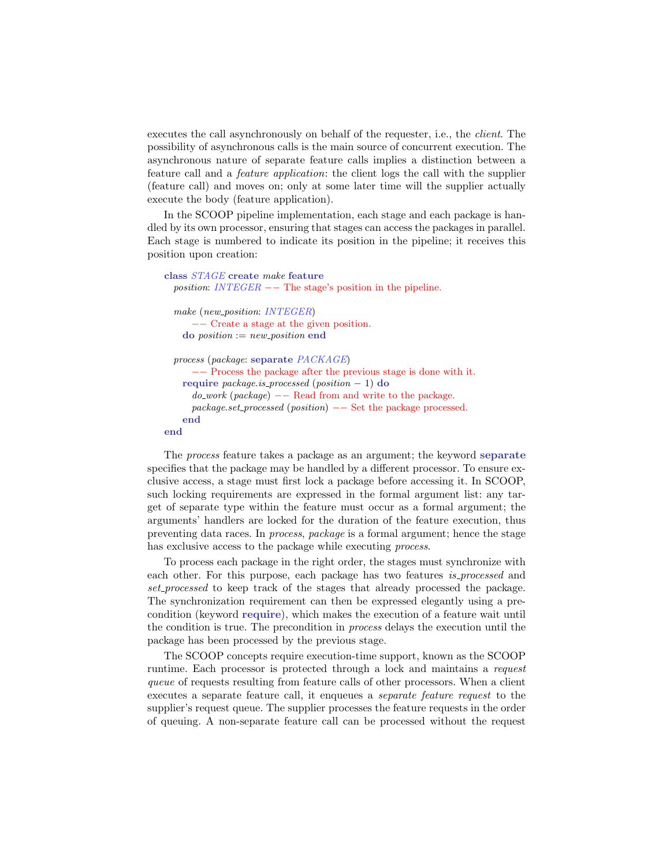executes the call asynchronously on behalf of the requester, i.e., the client. The possibility of asynchronous calls is the main source of concurrent execution. The asynchronous nature of separate feature calls implies a distinction between a feature call and a feature application: the client logs the call with the supplier (feature call) and moves on; only at some later time will the supplier actually execute the body (feature application).

In the SCOOP pipeline implementation, each stage and each package is handled by its own processor, ensuring that stages can access the packages in parallel. Each stage is numbered to indicate its position in the pipeline; it receives this position upon creation:

```
class STAGE create make feature
  position: INTEGER −− The stage's position in the pipeline.
  make (new position: INTEGER)
       −− Create a stage at the given position.
    \bf{do} position := new_position end
  process (package: separate PACKAGE)
      −− Process the package after the previous stage is done with it.
    require package.is_processed (position -1) do
      do_work (package) - Read from and write to the package.
      package.set_processed (position) -- Set the package processed.
    end
end
```
The process feature takes a package as an argument; the keyword separate specifies that the package may be handled by a different processor. To ensure exclusive access, a stage must first lock a package before accessing it. In SCOOP, such locking requirements are expressed in the formal argument list: any target of separate type within the feature must occur as a formal argument; the arguments' handlers are locked for the duration of the feature execution, thus preventing data races. In process, package is a formal argument; hence the stage has exclusive access to the package while executing process.

To process each package in the right order, the stages must synchronize with each other. For this purpose, each package has two features *is processed* and set processed to keep track of the stages that already processed the package. The synchronization requirement can then be expressed elegantly using a precondition (keyword require), which makes the execution of a feature wait until the condition is true. The precondition in process delays the execution until the package has been processed by the previous stage.

The SCOOP concepts require execution-time support, known as the SCOOP runtime. Each processor is protected through a lock and maintains a request queue of requests resulting from feature calls of other processors. When a client executes a separate feature call, it enqueues a separate feature request to the supplier's request queue. The supplier processes the feature requests in the order of queuing. A non-separate feature call can be processed without the request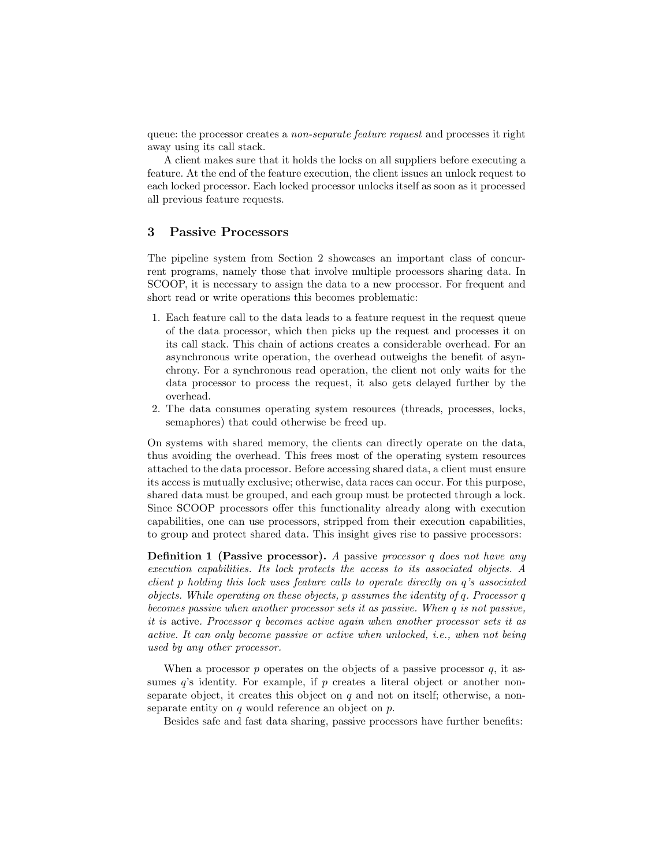queue: the processor creates a *non-separate feature request* and processes it right away using its call stack.

A client makes sure that it holds the locks on all suppliers before executing a feature. At the end of the feature execution, the client issues an unlock request to each locked processor. Each locked processor unlocks itself as soon as it processed all previous feature requests.

# 3 Passive Processors

The pipeline system from Section 2 showcases an important class of concurrent programs, namely those that involve multiple processors sharing data. In SCOOP, it is necessary to assign the data to a new processor. For frequent and short read or write operations this becomes problematic:

- 1. Each feature call to the data leads to a feature request in the request queue of the data processor, which then picks up the request and processes it on its call stack. This chain of actions creates a considerable overhead. For an asynchronous write operation, the overhead outweighs the benefit of asynchrony. For a synchronous read operation, the client not only waits for the data processor to process the request, it also gets delayed further by the overhead.
- 2. The data consumes operating system resources (threads, processes, locks, semaphores) that could otherwise be freed up.

On systems with shared memory, the clients can directly operate on the data, thus avoiding the overhead. This frees most of the operating system resources attached to the data processor. Before accessing shared data, a client must ensure its access is mutually exclusive; otherwise, data races can occur. For this purpose, shared data must be grouped, and each group must be protected through a lock. Since SCOOP processors offer this functionality already along with execution capabilities, one can use processors, stripped from their execution capabilities, to group and protect shared data. This insight gives rise to passive processors:

**Definition 1 (Passive processor).** A passive processor q does not have any execution capabilities. Its lock protects the access to its associated objects. A client p holding this lock uses feature calls to operate directly on q's associated objects. While operating on these objects, p assumes the identity of q. Processor q becomes passive when another processor sets it as passive. When q is not passive, it is active. Processor q becomes active again when another processor sets it as active. It can only become passive or active when unlocked, i.e., when not being used by any other processor.

When a processor p operates on the objects of a passive processor  $q$ , it assumes  $q$ 's identity. For example, if  $p$  creates a literal object or another nonseparate object, it creates this object on  $q$  and not on itself; otherwise, a nonseparate entity on  $q$  would reference an object on  $p$ .

Besides safe and fast data sharing, passive processors have further benefits: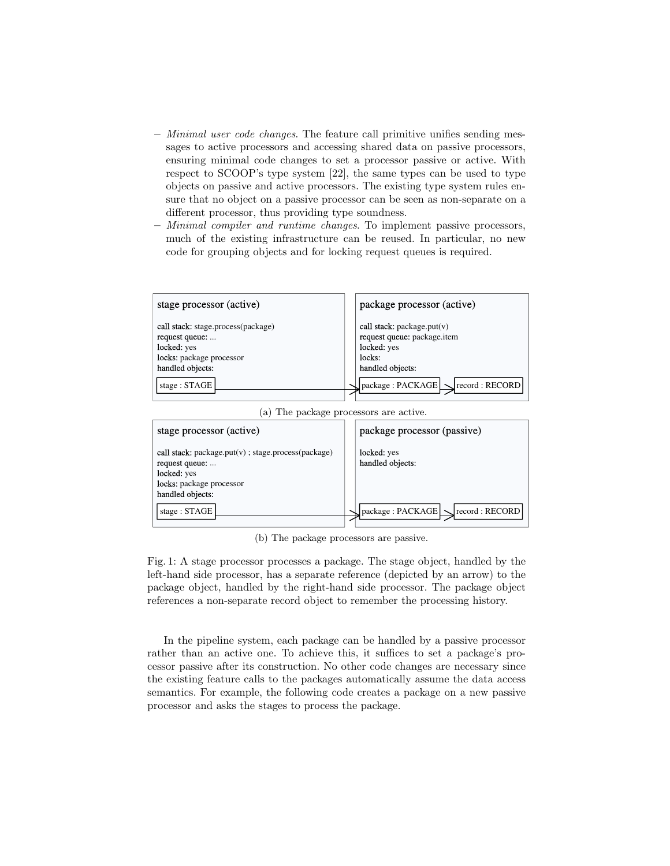- Minimal user code changes. The feature call primitive unifies sending messages to active processors and accessing shared data on passive processors, ensuring minimal code changes to set a processor passive or active. With respect to SCOOP's type system [22], the same types can be used to type objects on passive and active processors. The existing type system rules ensure that no object on a passive processor can be seen as non-separate on a different processor, thus providing type soundness.
- $-$  Minimal compiler and runtime changes. To implement passive processors, much of the existing infrastructure can be reused. In particular, no new code for grouping objects and for locking request queues is required.



(b) The package processors are passive.

Fig. 1: A stage processor processes a package. The stage object, handled by the left-hand side processor, has a separate reference (depicted by an arrow) to the package object, handled by the right-hand side processor. The package object references a non-separate record object to remember the processing history.

In the pipeline system, each package can be handled by a passive processor rather than an active one. To achieve this, it suffices to set a package's processor passive after its construction. No other code changes are necessary since the existing feature calls to the packages automatically assume the data access semantics. For example, the following code creates a package on a new passive processor and asks the stages to process the package.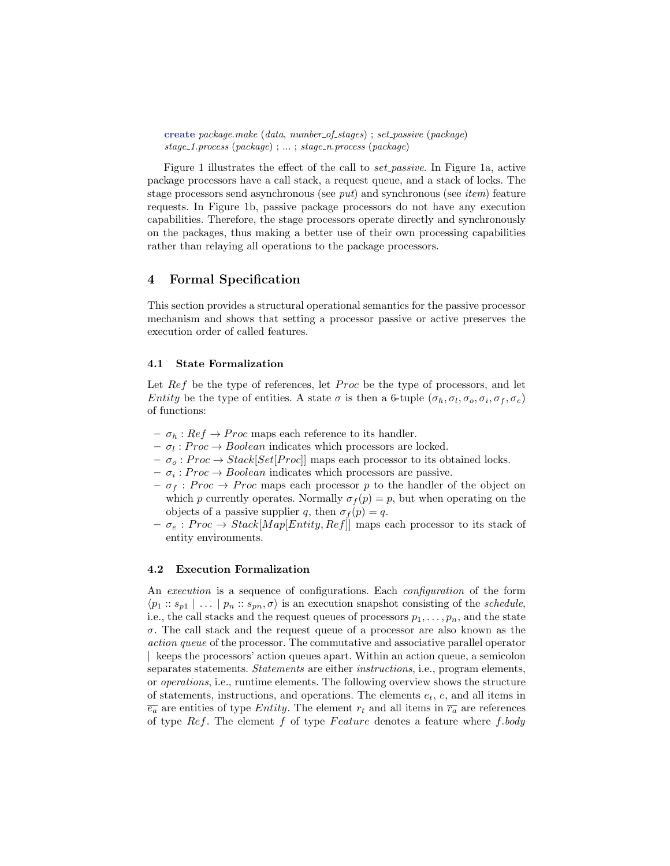create package.make (data, number\_of\_stages); set\_passive (package)  $stage_1. process (package)$ ; ...;  $stage_n. process (package)$ 

Figure 1 illustrates the effect of the call to set passive. In Figure 1a, active package processors have a call stack, a request queue, and a stack of locks. The stage processors send asynchronous (see put) and synchronous (see *item*) feature requests. In Figure 1b, passive package processors do not have any execution capabilities. Therefore, the stage processors operate directly and synchronously on the packages, thus making a better use of their own processing capabilities rather than relaying all operations to the package processors.

#### 4 Formal Specification

This section provides a structural operational semantics for the passive processor mechanism and shows that setting a processor passive or active preserves the execution order of called features.

#### 4.1 State Formalization

Let  $Ref$  be the type of references, let  $Proc$  be the type of processors, and let *Entity* be the type of entities. A state  $\sigma$  is then a 6-tuple  $(\sigma_h, \sigma_l, \sigma_o, \sigma_i, \sigma_f, \sigma_e)$ of functions:

- $\sigma_h : Ref \rightarrow Proc$  maps each reference to its handler.
- $\sigma_l : Proc \rightarrow Boolean$  indicates which processors are locked.
- $-\sigma_o: Proc \to Stack[Set[Proc]]$  maps each processor to its obtained locks.
- $\sigma_i : Proc \rightarrow Boolean$  indicates which processors are passive.
- $-\sigma_f$ : Proc  $\rightarrow$  Proc maps each processor p to the handler of the object on which p currently operates. Normally  $\sigma_f(p) = p$ , but when operating on the objects of a passive supplier q, then  $\sigma_f(p) = q$ .
- $-\sigma_e$ : Proc  $\rightarrow$  Stack[Map[Entity, Ref]] maps each processor to its stack of entity environments.

#### 4.2 Execution Formalization

An execution is a sequence of configurations. Each configuration of the form  $\langle p_1 : s_{p1} \mid \ldots \mid p_n : s_{pn}, \sigma \rangle$  is an execution snapshot consisting of the schedule, i.e., the call stacks and the request queues of processors  $p_1, \ldots, p_n$ , and the state σ. The call stack and the request queue of a processor are also known as the action queue of the processor. The commutative and associative parallel operator | keeps the processors' action queues apart. Within an action queue, a semicolon separates statements. Statements are either instructions, i.e., program elements, or operations, i.e., runtime elements. The following overview shows the structure of statements, instructions, and operations. The elements  $e_t$ ,  $e$ , and all items in  $\overline{e_a}$  are entities of type *Entity*. The element  $r_t$  and all items in  $\overline{r_a}$  are references of type  $Ref.$  The element f of type  $Feature$  denotes a feature where f.body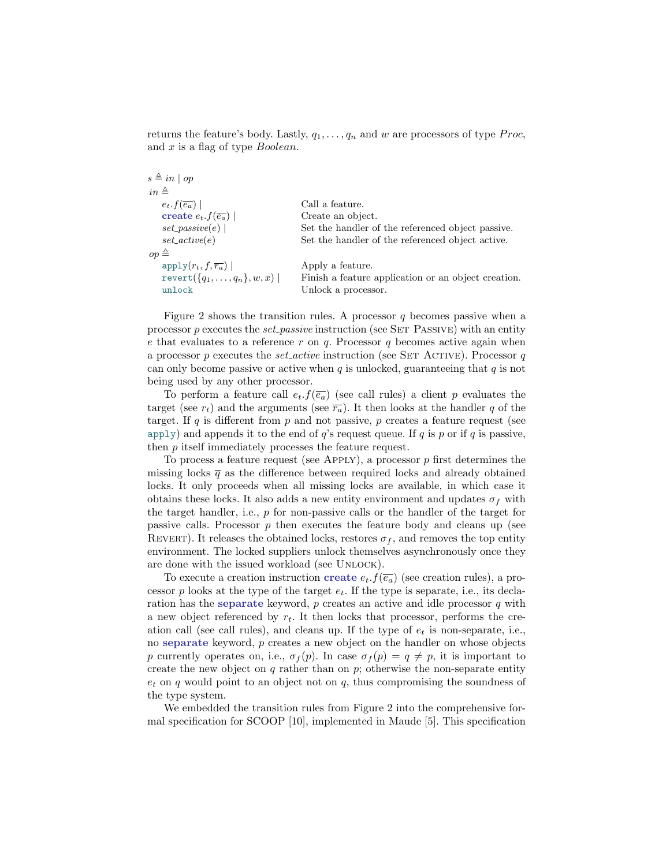returns the feature's body. Lastly,  $q_1, \ldots, q_n$  and w are processors of type *Proc*, and x is a flag of type Boolean.

| $s \triangleq in \mid op$         |                                                     |
|-----------------------------------|-----------------------------------------------------|
| $in \triangleq$                   |                                                     |
| $e_t. f(\overline{e_a})$          | Call a feature.                                     |
| create $e_t.f(\overline{e_a})$    | Create an object.                                   |
| $set\_passive(e)$                 | Set the handler of the referenced object passive.   |
| $set\_active(e)$                  | Set the handler of the referenced object active.    |
| $op \triangleq$                   |                                                     |
| $apply(r_t, f, \overline{r_a})$   | Apply a feature.                                    |
| revert $(\{q_1,\ldots,q_n\},w,x)$ | Finish a feature application or an object creation. |
| unlock                            | Unlock a processor.                                 |

Figure 2 shows the transition rules. A processor  $q$  becomes passive when a processor  $p$  executes the *set\_passive* instruction (see SET PASSIVE) with an entity e that evaluates to a reference  $r$  on  $q$ . Processor  $q$  becomes active again when a processor  $p$  executes the *set\_active* instruction (see SET ACTIVE). Processor  $q$ can only become passive or active when  $q$  is unlocked, guaranteeing that  $q$  is not being used by any other processor.

To perform a feature call  $e_t f(\overline{e_a})$  (see call rules) a client p evaluates the target (see  $r_t$ ) and the arguments (see  $\overline{r_a}$ ). It then looks at the handler q of the target. If q is different from  $p$  and not passive,  $p$  creates a feature request (see apply) and appends it to the end of  $q$ 's request queue. If  $q$  is  $p$  or if  $q$  is passive, then p itself immediately processes the feature request.

To process a feature request (see APPLY), a processor  $p$  first determines the missing locks  $\bar{q}$  as the difference between required locks and already obtained locks. It only proceeds when all missing locks are available, in which case it obtains these locks. It also adds a new entity environment and updates  $\sigma_f$  with the target handler, i.e.,  $p$  for non-passive calls or the handler of the target for passive calls. Processor  $p$  then executes the feature body and cleans up (see REVERT). It releases the obtained locks, restores  $\sigma_f$ , and removes the top entity environment. The locked suppliers unlock themselves asynchronously once they are done with the issued workload (see UNLOCK).

To execute a creation instruction create  $e_t.f(\overline{e_a})$  (see creation rules), a processor p looks at the type of the target  $e_t$ . If the type is separate, i.e., its declaration has the separate keyword,  $p$  creates an active and idle processor  $q$  with a new object referenced by  $r_t$ . It then locks that processor, performs the creation call (see call rules), and cleans up. If the type of  $e_t$  is non-separate, i.e., no separate keyword, p creates a new object on the handler on whose objects p currently operates on, i.e.,  $\sigma_f(p)$ . In case  $\sigma_f(p) = q \neq p$ , it is important to create the new object on q rather than on  $p$ ; otherwise the non-separate entity  $e_t$  on q would point to an object not on q, thus compromising the soundness of the type system.

We embedded the transition rules from Figure 2 into the comprehensive formal specification for SCOOP [10], implemented in Maude [5]. This specification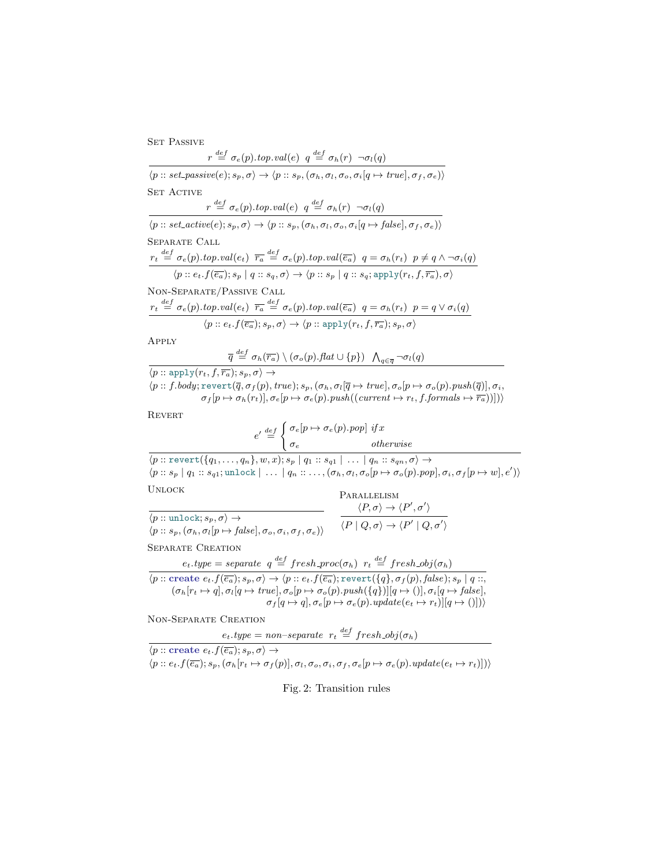**SET PASSIVE** 

 $r \stackrel{def}{=} \sigma_e(p) . top.val(e)$   $q \stackrel{def}{=} \sigma_h(r) \neg \sigma_l(q)$  $\langle p:: set\_passive(e); s_p, \sigma \rangle \rightarrow \langle p:: s_p,(\sigma_h, \sigma_l, \sigma_o, \sigma_i[q \mapsto true], \sigma_f, \sigma_e) \rangle$ SET ACTIVE  $r \stackrel{def}{=} \sigma_e(p).top.val(e)$   $q \stackrel{def}{=} \sigma_h(r) \neg \sigma_l(q)$  $\langle p:: set\_active(e); s_p, \sigma \rangle \rightarrow \langle p:: s_p, (\sigma_h, \sigma_l, \sigma_o, \sigma_i[q \mapsto \mathit{false}], \sigma_f, \sigma_e) \rangle$ Separate Call  $r_t \stackrel{def}{=} \sigma_e(p).top.val(e_t) \ \overline{r_a} \stackrel{def}{=} \sigma_e(p).top.val(\overline{e_a}) \ \ q = \sigma_h(r_t) \ \ p \neq q \wedge \neg \sigma_i(q)$  $\langle p:: e_t.f(\overline{e_a}); s_p | q:: s_q, \sigma \rangle \rightarrow \langle p:: s_p | q:: s_q; \text{apply}(r_t, f, \overline{r_a}), \sigma \rangle$ Non-Separate/Passive Call  $r_t \stackrel{def}{=} \sigma_e(p).top.val(e_t) \stackrel{ref}{=} \sigma_e(p).top.val(\overline{e_a}) \stackrel{def}{=} \sigma_h(r_t) \stackrel{def}{=} q \vee \sigma_i(q)$  $\langle p:: e_t.f(\overline{e_a}); s_p, \sigma\rangle \rightarrow \langle p:: \text{apply}(r_t, f, \overline{r_a}); s_p, \sigma\rangle$ 

**APPLY** 

$$
\overline{q} \stackrel{def}{=} \sigma_h(\overline{r_a}) \setminus (\sigma_o(p). \text{flat} \cup \{p\}) \quad \bigwedge_{q \in \overline{q}} \neg \sigma_l(q)
$$

 $\langle p::\text{apply}(r_t, f, \overline{r_a}); s_p, \sigma\rangle \rightarrow$ 

 $\langle p:: f.\textit{body}; \text{revert}(\overline{q}, \sigma_f(p), \textit{true}); s_p, (\sigma_h, \sigma_l | \overline{q} \mapsto \textit{true}], \sigma_o[p \mapsto \sigma_o(p). \textit{push}(\overline{q})], \sigma_i,$  $\sigma_f[p \mapsto \sigma_h(r_t)], \sigma_e[p \mapsto \sigma_e(p).push((current \mapsto r_t, f.formals \mapsto \overline{r_a}))])$ 

**REVERT** 

$$
e' \stackrel{def}{=} \begin{cases} \sigma_e[p \mapsto \sigma_e(p).pop] & if x \\ \sigma_e & otherwise \end{cases}
$$

 $\overline{\langle p::\texttt{revert}(\{q_1,\ldots,q_n\},w,x);s_p\mid q_1::s_{q1}\mid\ldots\mid q_n::s_{qn},\sigma\rangle\rightarrow}$  $\langle p:: s_p | q_1:: s_{q1}; \text{undock} | \ldots | q_n:: \ldots, (\sigma_h, \sigma_l, \sigma_o[p \mapsto \sigma_o(p).pop], \sigma_i, \sigma_f[p \mapsto w], e')\rangle$ Unlock **DARALLELIGM** 

|                                                                                                                                                                      | $\langle P,\sigma\rangle \to \langle P',\sigma'\rangle$                     |
|----------------------------------------------------------------------------------------------------------------------------------------------------------------------|-----------------------------------------------------------------------------|
| $\langle p::\text{unlock};s_n,\sigma\rangle\rightarrow$                                                                                                              | $\langle P   Q, \sigma \rangle \rightarrow \langle P'   Q, \sigma' \rangle$ |
| $\langle p :: s_p, (\sigma_h, \sigma_l[p \mapsto \text{false}], \sigma_o, \sigma_i, \sigma_f, \sigma_e) \rangle$                                                     |                                                                             |
| <b>SEPARATE CREATION</b>                                                                                                                                             |                                                                             |
| $e_t.\textit{type} = \textit{separate}$ $q \stackrel{\textit{def}}{=} \textit{fresh\_proc}(\sigma_h)$ $r_t \stackrel{\textit{def}}{=} \textit{fresh\_obj}(\sigma_h)$ |                                                                             |

 $\overline{\langle p::\text{create }e_t.f(\overline{e_a}); s_p, \sigma\rangle \rightarrow \langle p::e_t.f(\overline{e_a}); \text{revert}(\overline{\{q\}}, \sigma_f(p), \text{false}); s_p | q::,}$  $(\sigma_h[r_t \mapsto q], \sigma_l[q \mapsto true], \sigma_o[p \mapsto \sigma_o(p).push(\lbrace q \rbrace)][q \mapsto ()], \sigma_i[q \mapsto false],$  $\sigma_f[q \mapsto q], \sigma_e[p \mapsto \sigma_e(p).update(e_t \mapsto r_t)][q \mapsto ()])$ 

Non-Separate Creation

 $e_t.\textit{type} = \textit{non-separate}$   $r_t \stackrel{\textit{def}}{=} \textit{fresh\_obj}(\sigma_h)$ 

 $\overline{\langle p\text{ :: create }e_t.f(\overline{e_a}); s_p, \sigma\rangle\rightarrow}$ 

 $\langle p:: e_t.f(\overline{e_a}); s_p, (\sigma_h[r_t \mapsto \sigma_f(p)], \sigma_l, \sigma_o, \sigma_i, \sigma_f, \sigma_e[p \mapsto \sigma_e(p).update(e_t \mapsto r_t)]) \rangle$ 

Fig. 2: Transition rules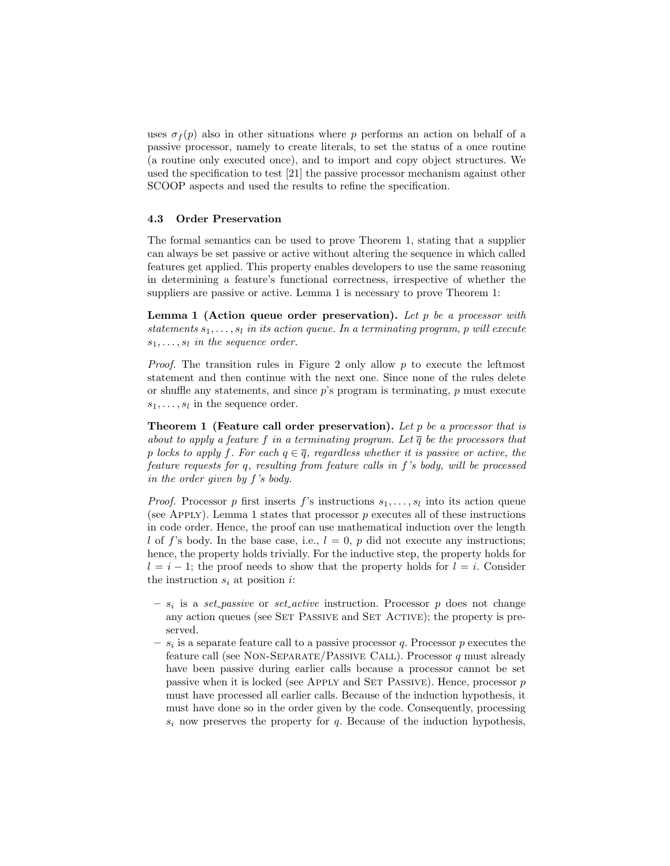uses  $\sigma_f(p)$  also in other situations where p performs an action on behalf of a passive processor, namely to create literals, to set the status of a once routine (a routine only executed once), and to import and copy object structures. We used the specification to test [21] the passive processor mechanism against other SCOOP aspects and used the results to refine the specification.

#### 4.3 Order Preservation

The formal semantics can be used to prove Theorem 1, stating that a supplier can always be set passive or active without altering the sequence in which called features get applied. This property enables developers to use the same reasoning in determining a feature's functional correctness, irrespective of whether the suppliers are passive or active. Lemma 1 is necessary to prove Theorem 1:

**Lemma 1 (Action queue order preservation).** Let p be a processor with statements  $s_1, \ldots, s_l$  in its action queue. In a terminating program, p will execute  $s_1, \ldots, s_l$  in the sequence order.

*Proof.* The transition rules in Figure 2 only allow  $p$  to execute the leftmost statement and then continue with the next one. Since none of the rules delete or shuffle any statements, and since  $p$ 's program is terminating,  $p$  must execute  $s_1, \ldots, s_l$  in the sequence order.

**Theorem 1 (Feature call order preservation).** Let p be a processor that is about to apply a feature f in a terminating program. Let  $\overline{q}$  be the processors that p locks to apply f. For each  $q \in \overline{q}$ , regardless whether it is passive or active, the feature requests for q, resulting from feature calls in f's body, will be processed in the order given by f's body.

*Proof.* Processor p first inserts  $f$ 's instructions  $s_1, \ldots, s_l$  into its action queue (see APPLY). Lemma 1 states that processor  $p$  executes all of these instructions in code order. Hence, the proof can use mathematical induction over the length l of f's body. In the base case, i.e.,  $l = 0$ , p did not execute any instructions; hence, the property holds trivially. For the inductive step, the property holds for  $l = i - 1$ ; the proof needs to show that the property holds for  $l = i$ . Consider the instruction  $s_i$  at position i:

- $s_i$  is a set passive or set active instruction. Processor p does not change any action queues (see SET PASSIVE and SET ACTIVE); the property is preserved.
- $s_i$  is a separate feature call to a passive processor q. Processor p executes the feature call (see NON-SEPARATE/PASSIVE CALL). Processor  $q$  must already have been passive during earlier calls because a processor cannot be set passive when it is locked (see APPLY and SET PASSIVE). Hence, processor  $p$ must have processed all earlier calls. Because of the induction hypothesis, it must have done so in the order given by the code. Consequently, processing  $s_i$  now preserves the property for q. Because of the induction hypothesis,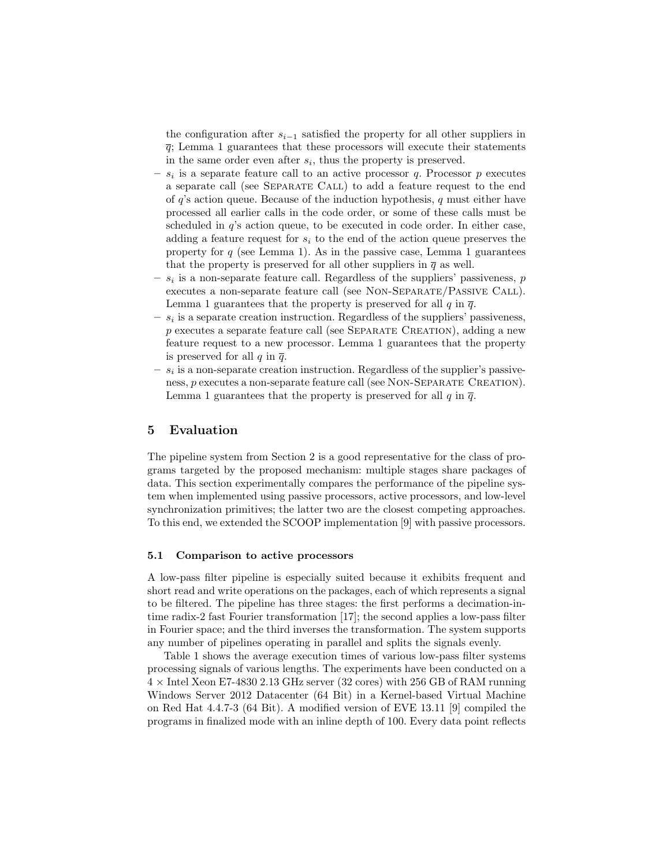the configuration after  $s_{i-1}$  satisfied the property for all other suppliers in  $\bar{q}$ ; Lemma 1 guarantees that these processors will execute their statements in the same order even after  $s_i$ , thus the property is preserved.

- $s_i$  is a separate feature call to an active processor q. Processor p executes a separate call (see Separate Call) to add a feature request to the end of  $q$ 's action queue. Because of the induction hypothesis,  $q$  must either have processed all earlier calls in the code order, or some of these calls must be scheduled in  $q$ 's action queue, to be executed in code order. In either case, adding a feature request for  $s_i$  to the end of the action queue preserves the property for  $q$  (see Lemma 1). As in the passive case, Lemma 1 guarantees that the property is preserved for all other suppliers in  $\bar{q}$  as well.
- $s_i$  is a non-separate feature call. Regardless of the suppliers' passiveness,  $p$ executes a non-separate feature call (see Non-Separate/Passive Call). Lemma 1 guarantees that the property is preserved for all  $q$  in  $\bar{q}$ .
- $s_i$  is a separate creation instruction. Regardless of the suppliers' passiveness,  $p$  executes a separate feature call (see SEPARATE CREATION), adding a new feature request to a new processor. Lemma 1 guarantees that the property is preserved for all q in  $\overline{q}$ .
- $s_i$  is a non-separate creation instruction. Regardless of the supplier's passiveness, p executes a non-separate feature call (see NON-SEPARATE CREATION). Lemma 1 guarantees that the property is preserved for all  $q$  in  $\overline{q}$ .

# 5 Evaluation

The pipeline system from Section 2 is a good representative for the class of programs targeted by the proposed mechanism: multiple stages share packages of data. This section experimentally compares the performance of the pipeline system when implemented using passive processors, active processors, and low-level synchronization primitives; the latter two are the closest competing approaches. To this end, we extended the SCOOP implementation [9] with passive processors.

#### 5.1 Comparison to active processors

A low-pass filter pipeline is especially suited because it exhibits frequent and short read and write operations on the packages, each of which represents a signal to be filtered. The pipeline has three stages: the first performs a decimation-intime radix-2 fast Fourier transformation [17]; the second applies a low-pass filter in Fourier space; and the third inverses the transformation. The system supports any number of pipelines operating in parallel and splits the signals evenly.

Table 1 shows the average execution times of various low-pass filter systems processing signals of various lengths. The experiments have been conducted on a  $4 \times$  Intel Xeon E7-4830 2.13 GHz server (32 cores) with 256 GB of RAM running Windows Server 2012 Datacenter (64 Bit) in a Kernel-based Virtual Machine on Red Hat 4.4.7-3 (64 Bit). A modified version of EVE 13.11 [9] compiled the programs in finalized mode with an inline depth of 100. Every data point reflects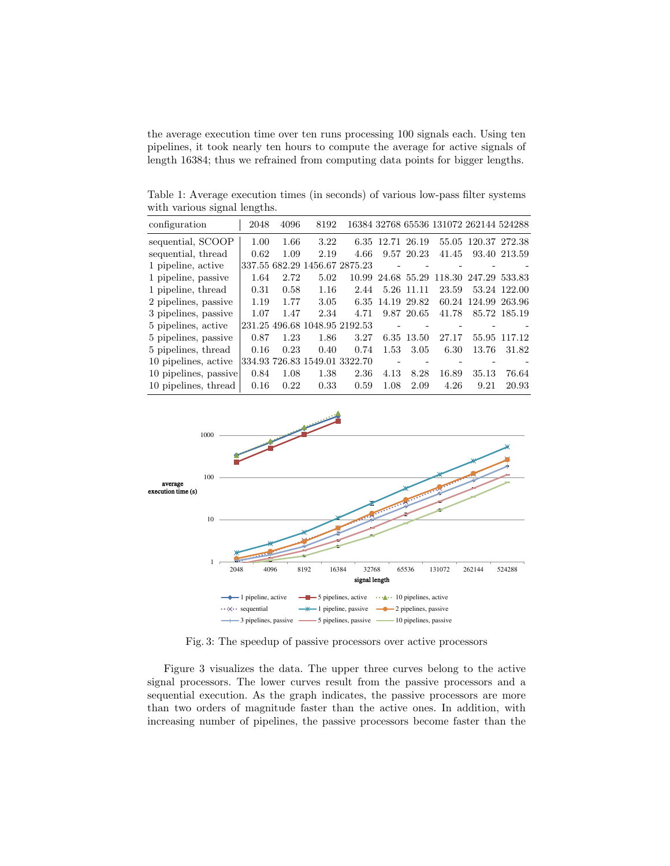the average execution time over ten runs processing 100 signals each. Using ten pipelines, it took nearly ten hours to compute the average for active signals of length 16384; thus we refrained from computing data points for bigger lengths.

Table 1: Average execution times (in seconds) of various low-pass filter systems with various signal lengths.

| configuration         | 2048 | 4096 | 8192 |                               |       |             |       | 16384 32768 65536 131072 262144 524288 |              |
|-----------------------|------|------|------|-------------------------------|-------|-------------|-------|----------------------------------------|--------------|
| sequential, SCOOP     | 1.00 | 1.66 | 3.22 | 6.35                          | 12.71 | 26.19       | 55.05 | 120.37 272.38                          |              |
| sequential, thread    | 0.62 | 1.09 | 2.19 | 4.66                          |       | 9.57 20.23  | 41.45 |                                        | 93.40 213.59 |
| 1 pipeline, active    |      |      |      | 337.55 682.29 1456.67 2875.23 |       |             |       |                                        |              |
| 1 pipeline, passive   | 1.64 | 2.72 | 5.02 | 10.99                         |       | 24.68 55.29 |       | 118.30 247.29 533.83                   |              |
| 1 pipeline, thread    | 0.31 | 0.58 | 1.16 | 2.44                          |       | 5.26 11.11  | 23.59 |                                        | 53.24 122.00 |
| 2 pipelines, passive  | 1.19 | 1.77 | 3.05 | 6.35                          |       | 14.19 29.82 |       | 60.24 124.99 263.96                    |              |
| 3 pipelines, passive  | 1.07 | 1.47 | 2.34 | 4.71                          |       | 9.87 20.65  | 41.78 |                                        | 85.72 185.19 |
| 5 pipelines, active   |      |      |      | 231.25 496.68 1048.95 2192.53 |       |             |       |                                        |              |
| 5 pipelines, passive  | 0.87 | 1.23 | 1.86 | 3.27                          | 6.35  | 13.50       | 27.17 | 55.95                                  | 117.12       |
| 5 pipelines, thread   | 0.16 | 0.23 | 0.40 | 0.74                          | 1.53  | 3.05        | 6.30  | 13.76                                  | 31.82        |
| 10 pipelines, active  |      |      |      | 334.93 726.83 1549.01 3322.70 |       |             |       |                                        |              |
| 10 pipelines, passive | 0.84 | 1.08 | 1.38 | 2.36                          | 4.13  | 8.28        | 16.89 | 35.13                                  | 76.64        |
| 10 pipelines, thread  | 0.16 | 0.22 | 0.33 | 0.59                          | 1.08  | 2.09        | 4.26  | 9.21                                   | 20.93        |



Fig. 3: The speedup of passive processors over active processors

Figure 3 visualizes the data. The upper three curves belong to the active signal processors. The lower curves result from the passive processors and a sequential execution. As the graph indicates, the passive processors are more than two orders of magnitude faster than the active ones. In addition, with increasing number of pipelines, the passive processors become faster than the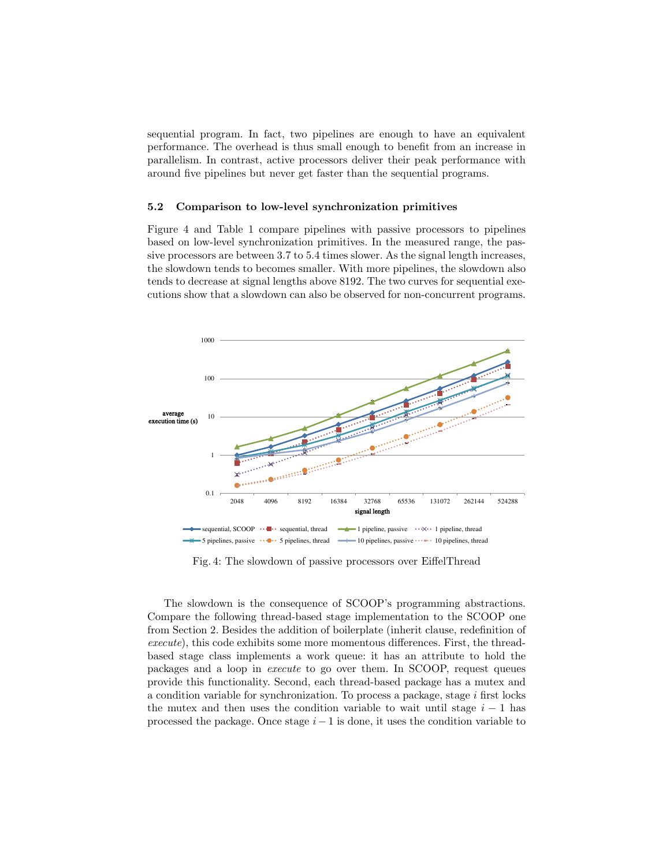sequential program. In fact, two pipelines are enough to have an equivalent performance. The overhead is thus small enough to benefit from an increase in parallelism. In contrast, active processors deliver their peak performance with around five pipelines but never get faster than the sequential programs.

#### 5.2 Comparison to low-level synchronization primitives

Figure 4 and Table 1 compare pipelines with passive processors to pipelines based on low-level synchronization primitives. In the measured range, the passive processors are between 3.7 to 5.4 times slower. As the signal length increases, the slowdown tends to becomes smaller. With more pipelines, the slowdown also tends to decrease at signal lengths above 8192. The two curves for sequential executions show that a slowdown can also be observed for non-concurrent programs.



Fig. 4: The slowdown of passive processors over EiffelThread

The slowdown is the consequence of SCOOP's programming abstractions. Compare the following thread-based stage implementation to the SCOOP one from Section 2. Besides the addition of boilerplate (inherit clause, redefinition of execute), this code exhibits some more momentous differences. First, the threadbased stage class implements a work queue: it has an attribute to hold the packages and a loop in execute to go over them. In SCOOP, request queues provide this functionality. Second, each thread-based package has a mutex and a condition variable for synchronization. To process a package, stage  $i$  first locks the mutex and then uses the condition variable to wait until stage  $i - 1$  has processed the package. Once stage  $i - 1$  is done, it uses the condition variable to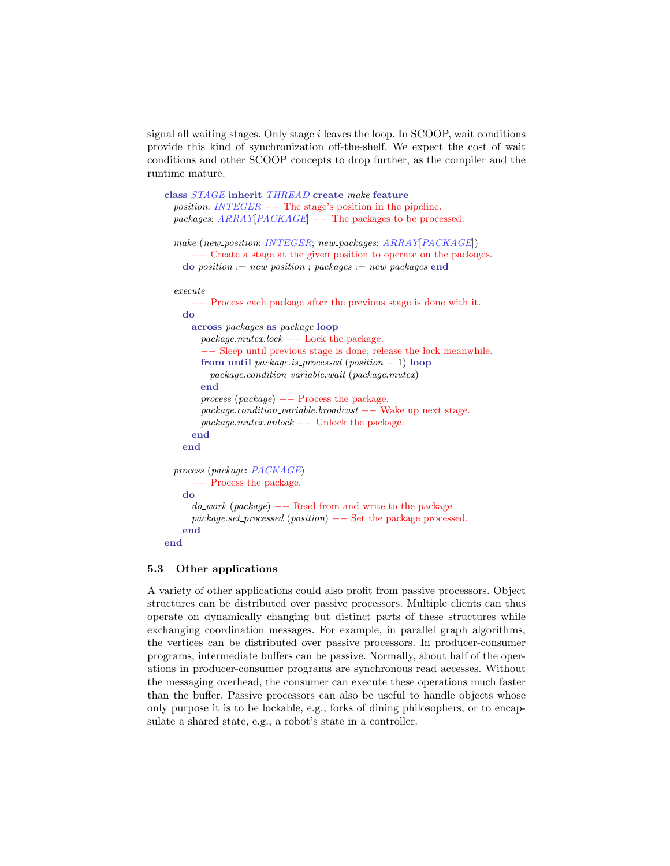signal all waiting stages. Only stage  $i$  leaves the loop. In SCOOP, wait conditions provide this kind of synchronization off-the-shelf. We expect the cost of wait conditions and other SCOOP concepts to drop further, as the compiler and the runtime mature.

```
class STAGE inherit THREAD create make feature
 position: INTEGER −− The stage's position in the pipeline.
 packages: ARRAY|PACKAGE| -- The packages to be processed.
 make (new position: INTEGER; new packages: ARRAY[PACKAGE])
      −− Create a stage at the given position to operate on the packages.
   \bf{do} position := new_position ; packages := new_packages end
  execute
      −− Process each package after the previous stage is done with it.
   do
     across packages as package loop
       package.muter.lock -- Lock the package.−− Sleep until previous stage is done; release the lock meanwhile.
       from until package.is_processed (position -1) loop
          package. condition\_variable.wait (package.mutex)
        end
       process (package) - Process the package.
       package.condition variable.broadcast −− Wake up next stage.
       package. mutex. unlock -- Unlock the package.end
   end
 process (package: PACKAGE)
       −− Process the package.
   do
      do_work (package) - Read from and write to the package
     package.set\_processed (position) -- Set the package processed.end
end
```
#### 5.3 Other applications

A variety of other applications could also profit from passive processors. Object structures can be distributed over passive processors. Multiple clients can thus operate on dynamically changing but distinct parts of these structures while exchanging coordination messages. For example, in parallel graph algorithms, the vertices can be distributed over passive processors. In producer-consumer programs, intermediate buffers can be passive. Normally, about half of the operations in producer-consumer programs are synchronous read accesses. Without the messaging overhead, the consumer can execute these operations much faster than the buffer. Passive processors can also be useful to handle objects whose only purpose it is to be lockable, e.g., forks of dining philosophers, or to encapsulate a shared state, e.g., a robot's state in a controller.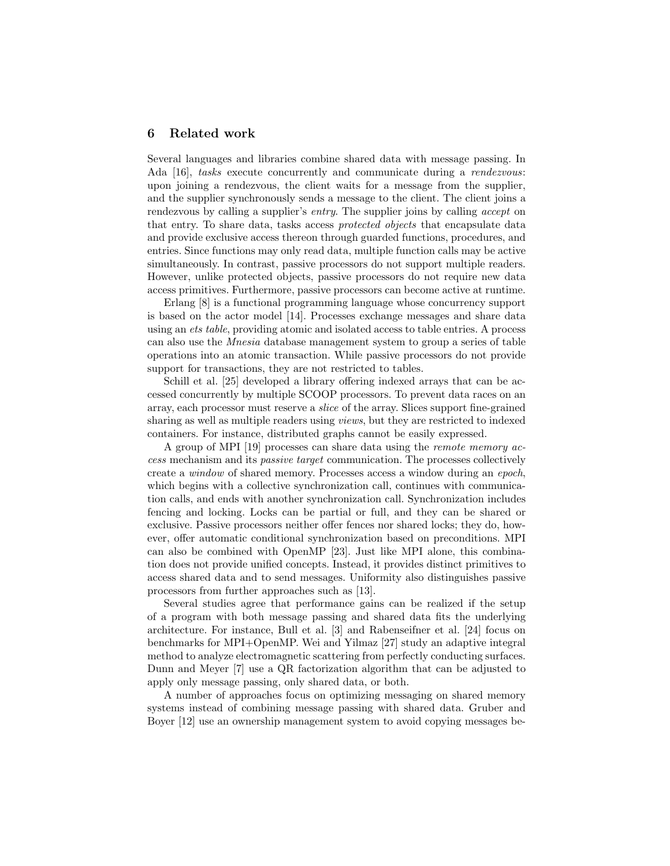## 6 Related work

Several languages and libraries combine shared data with message passing. In Ada [16], tasks execute concurrently and communicate during a rendezvous: upon joining a rendezvous, the client waits for a message from the supplier, and the supplier synchronously sends a message to the client. The client joins a rendezvous by calling a supplier's *entry*. The supplier joins by calling *accept* on that entry. To share data, tasks access protected objects that encapsulate data and provide exclusive access thereon through guarded functions, procedures, and entries. Since functions may only read data, multiple function calls may be active simultaneously. In contrast, passive processors do not support multiple readers. However, unlike protected objects, passive processors do not require new data access primitives. Furthermore, passive processors can become active at runtime.

Erlang [8] is a functional programming language whose concurrency support is based on the actor model [14]. Processes exchange messages and share data using an ets table, providing atomic and isolated access to table entries. A process can also use the Mnesia database management system to group a series of table operations into an atomic transaction. While passive processors do not provide support for transactions, they are not restricted to tables.

Schill et al. [25] developed a library offering indexed arrays that can be accessed concurrently by multiple SCOOP processors. To prevent data races on an array, each processor must reserve a slice of the array. Slices support fine-grained sharing as well as multiple readers using views, but they are restricted to indexed containers. For instance, distributed graphs cannot be easily expressed.

A group of MPI [19] processes can share data using the remote memory access mechanism and its passive target communication. The processes collectively create a window of shared memory. Processes access a window during an epoch, which begins with a collective synchronization call, continues with communication calls, and ends with another synchronization call. Synchronization includes fencing and locking. Locks can be partial or full, and they can be shared or exclusive. Passive processors neither offer fences nor shared locks; they do, however, offer automatic conditional synchronization based on preconditions. MPI can also be combined with OpenMP [23]. Just like MPI alone, this combination does not provide unified concepts. Instead, it provides distinct primitives to access shared data and to send messages. Uniformity also distinguishes passive processors from further approaches such as [13].

Several studies agree that performance gains can be realized if the setup of a program with both message passing and shared data fits the underlying architecture. For instance, Bull et al. [3] and Rabenseifner et al. [24] focus on benchmarks for MPI+OpenMP. Wei and Yilmaz [27] study an adaptive integral method to analyze electromagnetic scattering from perfectly conducting surfaces. Dunn and Meyer [7] use a QR factorization algorithm that can be adjusted to apply only message passing, only shared data, or both.

A number of approaches focus on optimizing messaging on shared memory systems instead of combining message passing with shared data. Gruber and Boyer [12] use an ownership management system to avoid copying messages be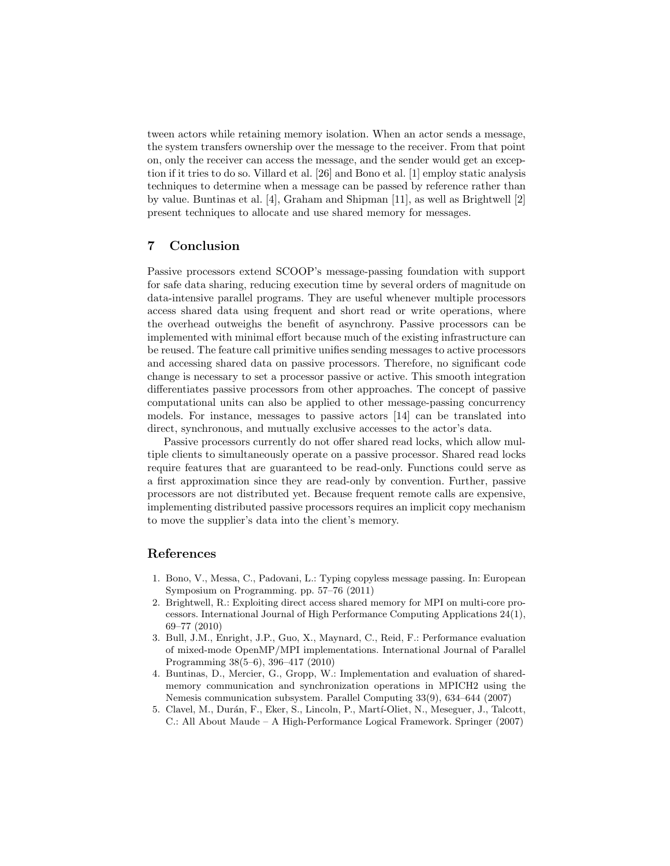tween actors while retaining memory isolation. When an actor sends a message, the system transfers ownership over the message to the receiver. From that point on, only the receiver can access the message, and the sender would get an exception if it tries to do so. Villard et al. [26] and Bono et al. [1] employ static analysis techniques to determine when a message can be passed by reference rather than by value. Buntinas et al. [4], Graham and Shipman [11], as well as Brightwell [2] present techniques to allocate and use shared memory for messages.

# 7 Conclusion

Passive processors extend SCOOP's message-passing foundation with support for safe data sharing, reducing execution time by several orders of magnitude on data-intensive parallel programs. They are useful whenever multiple processors access shared data using frequent and short read or write operations, where the overhead outweighs the benefit of asynchrony. Passive processors can be implemented with minimal effort because much of the existing infrastructure can be reused. The feature call primitive unifies sending messages to active processors and accessing shared data on passive processors. Therefore, no significant code change is necessary to set a processor passive or active. This smooth integration differentiates passive processors from other approaches. The concept of passive computational units can also be applied to other message-passing concurrency models. For instance, messages to passive actors [14] can be translated into direct, synchronous, and mutually exclusive accesses to the actor's data.

Passive processors currently do not offer shared read locks, which allow multiple clients to simultaneously operate on a passive processor. Shared read locks require features that are guaranteed to be read-only. Functions could serve as a first approximation since they are read-only by convention. Further, passive processors are not distributed yet. Because frequent remote calls are expensive, implementing distributed passive processors requires an implicit copy mechanism to move the supplier's data into the client's memory.

# References

- 1. Bono, V., Messa, C., Padovani, L.: Typing copyless message passing. In: European Symposium on Programming. pp. 57–76 (2011)
- 2. Brightwell, R.: Exploiting direct access shared memory for MPI on multi-core processors. International Journal of High Performance Computing Applications 24(1), 69–77 (2010)
- 3. Bull, J.M., Enright, J.P., Guo, X., Maynard, C., Reid, F.: Performance evaluation of mixed-mode OpenMP/MPI implementations. International Journal of Parallel Programming 38(5–6), 396–417 (2010)
- 4. Buntinas, D., Mercier, G., Gropp, W.: Implementation and evaluation of sharedmemory communication and synchronization operations in MPICH2 using the Nemesis communication subsystem. Parallel Computing 33(9), 634–644 (2007)
- 5. Clavel, M., Durán, F., Eker, S., Lincoln, P., Martí-Oliet, N., Meseguer, J., Talcott, C.: All About Maude – A High-Performance Logical Framework. Springer (2007)